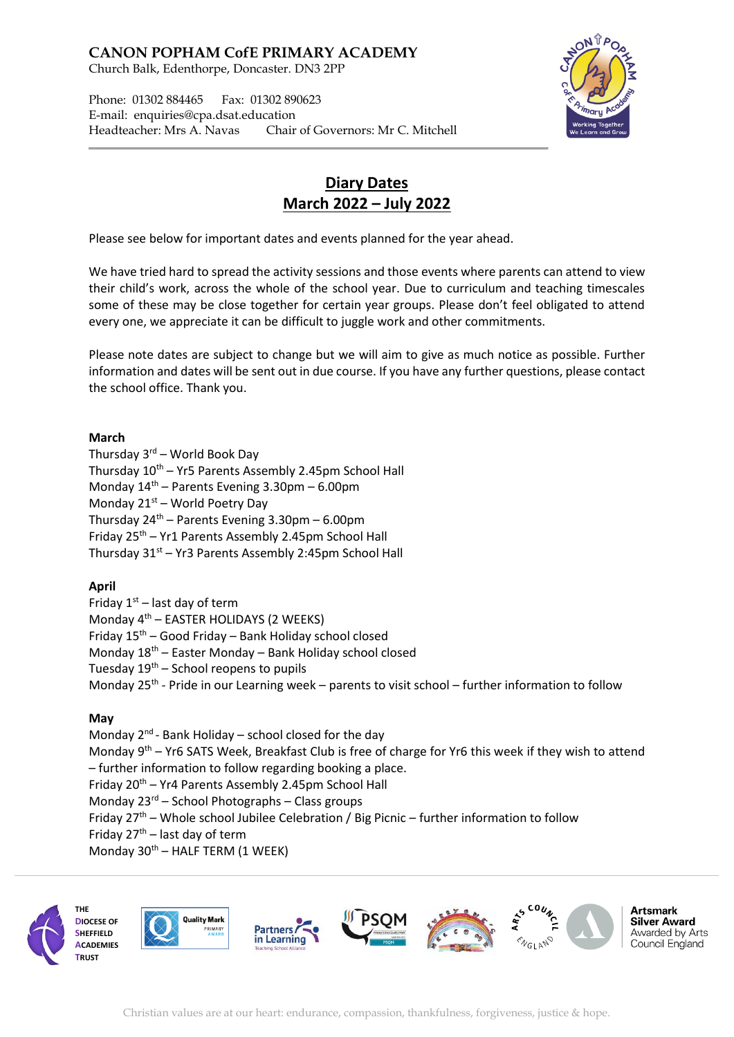**CANON POPHAM CofE PRIMARY ACADEMY** Church Balk, Edenthorpe, Doncaster. DN3 2PP

Phone: 01302 884465 Fax: 01302 890623 E-mail: enquiries@cpa.dsat.education Headteacher: Mrs A. Navas Chair of Governors: Mr C. Mitchell



# **Diary Dates March 2022 – July 2022**

Please see below for important dates and events planned for the year ahead.

We have tried hard to spread the activity sessions and those events where parents can attend to view their child's work, across the whole of the school year. Due to curriculum and teaching timescales some of these may be close together for certain year groups. Please don't feel obligated to attend every one, we appreciate it can be difficult to juggle work and other commitments.

Please note dates are subject to change but we will aim to give as much notice as possible. Further information and dates will be sent out in due course. If you have any further questions, please contact the school office. Thank you.

#### **March**

Thursday 3rd – World Book Day Thursday  $10^{th}$  – Yr5 Parents Assembly 2.45pm School Hall Monday  $14<sup>th</sup>$  – Parents Evening 3.30pm – 6.00pm Monday  $21^{st}$  – World Poetry Day Thursday  $24<sup>th</sup>$  – Parents Evening 3.30pm – 6.00pm Friday  $25<sup>th</sup>$  – Yr1 Parents Assembly 2.45pm School Hall Thursday  $31<sup>st</sup> - Yr3$  Parents Assembly 2:45pm School Hall

#### **April**

Friday  $1<sup>st</sup>$  – last day of term Monday  $4<sup>th</sup>$  – EASTER HOLIDAYS (2 WEEKS) Friday  $15<sup>th</sup>$  – Good Friday – Bank Holiday school closed Monday 18th – Easter Monday – Bank Holiday school closed Tuesday  $19<sup>th</sup>$  – School reopens to pupils Monday 25<sup>th</sup> - Pride in our Learning week - parents to visit school - further information to follow

#### **May**

Monday 2<sup>nd</sup> - Bank Holiday - school closed for the day Monday 9<sup>th</sup> – Yr6 SATS Week, Breakfast Club is free of charge for Yr6 this week if they wish to attend – further information to follow regarding booking a place. Friday 20th – Yr4 Parents Assembly 2.45pm School Hall Monday  $23^{rd}$  – School Photographs – Class groups Friday  $27<sup>th</sup>$  – Whole school Jubilee Celebration / Big Picnic – further information to follow Friday  $27<sup>th</sup>$  – last day of term Monday  $30<sup>th</sup>$  – HALF TERM (1 WEEK)